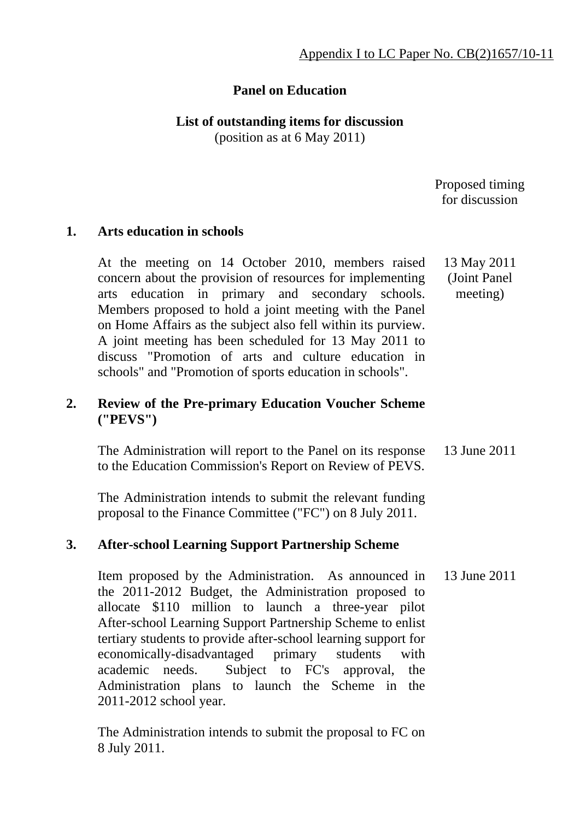# **Panel on Education**

**List of outstanding items for discussion**  (position as at 6 May 2011)

> Proposed timing for discussion

#### **1. Arts education in schools**

At the meeting on 14 October 2010, members raised concern about the provision of resources for implementing arts education in primary and secondary schools. Members proposed to hold a joint meeting with the Panel on Home Affairs as the subject also fell within its purview. A joint meeting has been scheduled for 13 May 2011 to discuss "Promotion of arts and culture education in schools" and "Promotion of sports education in schools". 13 May 2011 (Joint Panel meeting)

# **2. Review of the Pre-primary Education Voucher Scheme ("PEVS")**

 The Administration will report to the Panel on its response to the Education Commission's Report on Review of PEVS. 13 June 2011

The Administration intends to submit the relevant funding proposal to the Finance Committee ("FC") on 8 July 2011.

# **3. After-school Learning Support Partnership Scheme**

 Item proposed by the Administration. As announced in the 2011-2012 Budget, the Administration proposed to allocate \$110 million to launch a three-year pilot After-school Learning Support Partnership Scheme to enlist tertiary students to provide after-school learning support for economically-disadvantaged primary students with academic needs. Subject to FC's approval, the Administration plans to launch the Scheme in the 2011-2012 school year. 13 June 2011

The Administration intends to submit the proposal to FC on 8 July 2011.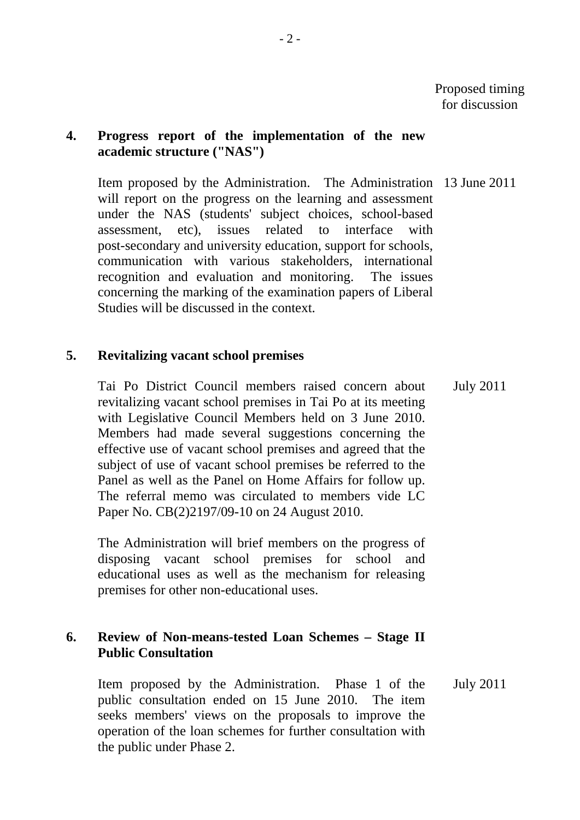#### **4. Progress report of the implementation of the new academic structure ("NAS")**

 Item proposed by the Administration. The Administration 13 June 2011 will report on the progress on the learning and assessment under the NAS (students' subject choices, school-based assessment, etc), issues related to interface with post-secondary and university education, support for schools, communication with various stakeholders, international recognition and evaluation and monitoring. The issues concerning the marking of the examination papers of Liberal Studies will be discussed in the context.

#### **5. Revitalizing vacant school premises**

Tai Po District Council members raised concern about revitalizing vacant school premises in Tai Po at its meeting with Legislative Council Members held on 3 June 2010. Members had made several suggestions concerning the effective use of vacant school premises and agreed that the subject of use of vacant school premises be referred to the Panel as well as the Panel on Home Affairs for follow up. The referral memo was circulated to members vide LC Paper No. CB(2)2197/09-10 on 24 August 2010. July 2011

The Administration will brief members on the progress of disposing vacant school premises for school and educational uses as well as the mechanism for releasing premises for other non-educational uses.

# **6. Review of Non-means-tested Loan Schemes – Stage II Public Consultation**

Item proposed by the Administration. Phase 1 of the public consultation ended on 15 June 2010. The item seeks members' views on the proposals to improve the operation of the loan schemes for further consultation with the public under Phase 2. July 2011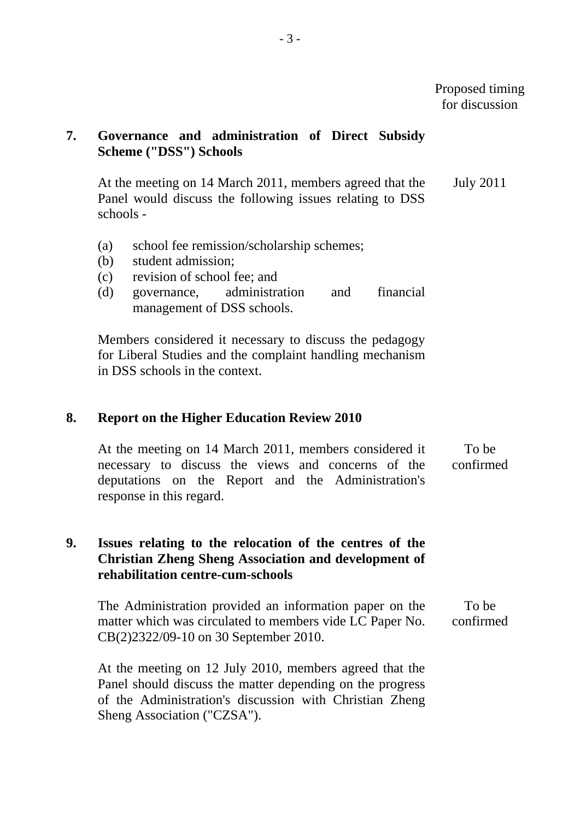# **7. Governance and administration of Direct Subsidy Scheme ("DSS") Schools**

At the meeting on 14 March 2011, members agreed that the Panel would discuss the following issues relating to DSS schools - July 2011

- (a) school fee remission/scholarship schemes;
- (b) student admission;
- (c) revision of school fee; and
- (d) governance, administration and financial management of DSS schools.

Members considered it necessary to discuss the pedagogy for Liberal Studies and the complaint handling mechanism in DSS schools in the context.

#### **8. Report on the Higher Education Review 2010**

At the meeting on 14 March 2011, members considered it necessary to discuss the views and concerns of the deputations on the Report and the Administration's response in this regard. To be confirmed

#### **9. Issues relating to the relocation of the centres of the Christian Zheng Sheng Association and development of rehabilitation centre-cum-schools**

The Administration provided an information paper on the matter which was circulated to members vide LC Paper No. CB(2)2322/09-10 on 30 September 2010. To be confirmed

At the meeting on 12 July 2010, members agreed that the Panel should discuss the matter depending on the progress of the Administration's discussion with Christian Zheng Sheng Association ("CZSA").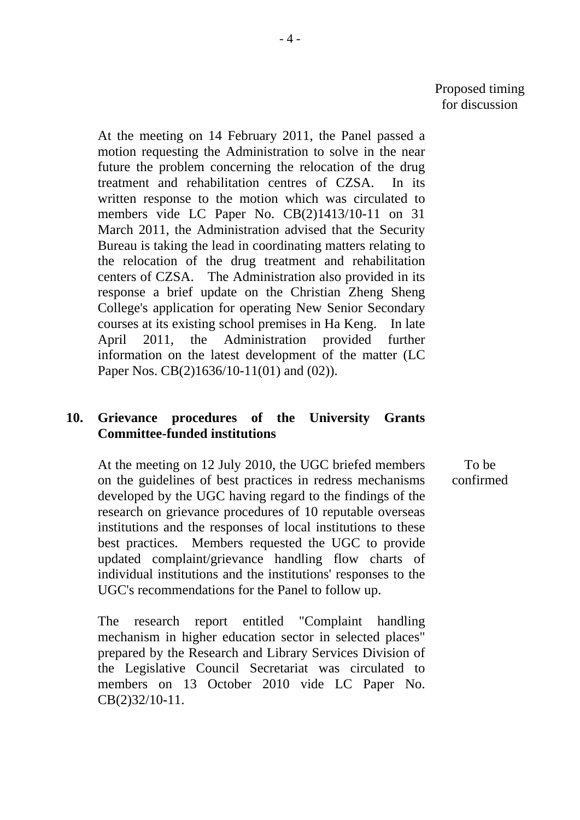At the meeting on 14 February 2011, the Panel passed a motion requesting the Administration to solve in the near future the problem concerning the relocation of the drug treatment and rehabilitation centres of CZSA. In its written response to the motion which was circulated to members vide LC Paper No. CB(2)1413/10-11 on 31 March 2011, the Administration advised that the Security Bureau is taking the lead in coordinating matters relating to the relocation of the drug treatment and rehabilitation centers of CZSA. The Administration also provided in its response a brief update on the Christian Zheng Sheng College's application for operating New Senior Secondary courses at its existing school premises in Ha Keng. In late April 2011, the Administration provided further information on the latest development of the matter (LC Paper Nos. CB(2)1636/10-11(01) and (02)).

#### **10. Grievance procedures of the University Grants Committee-funded institutions**

At the meeting on 12 July 2010, the UGC briefed members on the guidelines of best practices in redress mechanisms developed by the UGC having regard to the findings of the research on grievance procedures of 10 reputable overseas institutions and the responses of local institutions to these best practices. Members requested the UGC to provide updated complaint/grievance handling flow charts of individual institutions and the institutions' responses to the UGC's recommendations for the Panel to follow up.

The research report entitled "Complaint handling mechanism in higher education sector in selected places" prepared by the Research and Library Services Division of the Legislative Council Secretariat was circulated to members on 13 October 2010 vide LC Paper No. CB(2)32/10-11.

To be confirmed